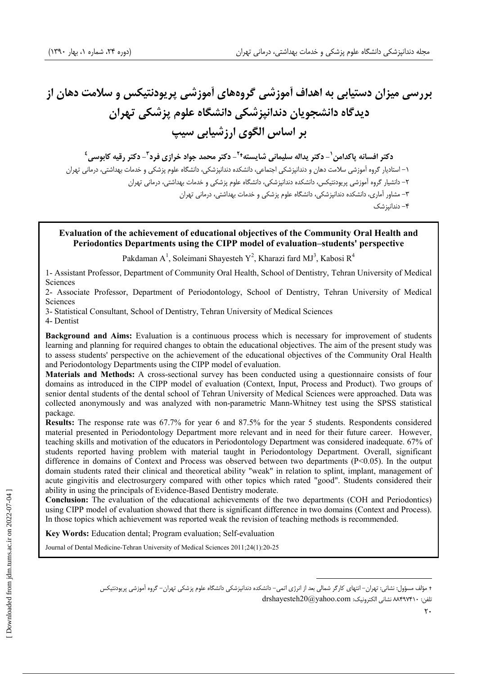# بررسی میزان دستیابی به اهداف آموزشی گروههای آموزشی پریودنتیکس و سلامت دهان از ديدگاه دانشجويان دندانيزشكي دانشگاه علوم يزشكي تهران بر اساس الگوی ارزشیابی سیپ

دكتر افسانه ياكدامن `- دكتر يداله سليماني شايسته<sup>21</sup>- دكتر محمد جواد خرازي فرد<sup>۳</sup>- دكتر رقيه كابوسي<sup>٤</sup> ۱– استادیار گروه آموزشی سلامت دهان و دندانپزشکی اجتماعی، دانشکده دندانپزشکی، دانشگاه علوم پزشکی و خدمات بهداشتی، درمانی تهران ۲– دانشیار گروه آموزشی پریودنتیکس، دانشکده دندانیزشکی، دانشگاه علوم پزشکی و خدمات بهداشتی، درمانی تهران ۳– مشاور آماری، دانشکده دندانیزشکی، دانشگاه علوم پزشکی و خدمات پهداشتی، درمانی تهران ۴– دندانیز شک

## Evaluation of the achievement of educational objectives of the Community Oral Health and Periodontics Departments using the CIPP model of evaluation-students' perspective

Pakdaman A<sup>1</sup>, Soleimani Shayesteh Y<sup>2</sup>, Kharazi fard MJ<sup>3</sup>, Kabosi R<sup>4</sup>

1- Assistant Professor, Department of Community Oral Health, School of Dentistry, Tehran University of Medical Sciences

2- Associate Professor, Department of Periodontology, School of Dentistry, Tehran University of Medical Sciences

3- Statistical Consultant, School of Dentistry, Tehran University of Medical Sciences

4- Dentist

**Background and Aims:** Evaluation is a continuous process which is necessary for improvement of students learning and planning for required changes to obtain the educational objectives. The aim of the present study was to assess students' perspective on the achievement of the educational objectives of the Community Oral Health and Periodontology Departments using the CIPP model of evaluation.

Materials and Methods: A cross-sectional survey has been conducted using a questionnaire consists of four domains as introduced in the CIPP model of evaluation (Context, Input, Process and Product). Two groups of senior dental students of the dental school of Tehran University of Medical Sciences were approached. Data was collected anonymously and was analyzed with non-parametric Mann-Whitney test using the SPSS statistical package.

**Results:** The response rate was 67.7% for year 6 and 87.5% for the year 5 students. Respondents considered material presented in Periodontology Department more relevant and in need for their future career. However, teaching skills and motivation of the educators in Periodontology Department was considered inadequate. 67% of students reported having problem with material taught in Periodontology Department. Overall, significant difference in domains of Context and Process was observed between two departments (P<0.05). In the output domain students rated their clinical and theoretical ability "weak" in relation to splint, implant, management of acute gingivitis and electrosurgery compared with other topics which rated "good". Students considered their ability in using the principals of Evidence-Based Dentistry moderate.

**Conclusion:** The evaluation of the educational achievements of the two departments (COH and Periodontics) using CIPP model of evaluation showed that there is significant difference in two domains (Context and Process). In those topics which achievement was reported weak the revision of teaching methods is recommended.

Key Words: Education dental; Program evaluation; Self-evaluation

Journal of Dental Medicine-Tehran University of Medical Sciences 2011;24(1):20-25

<sup>+</sup> مؤلف مسؤول: نشانی: تھران– انتھای کارگر شمالی بعد از انرژی اتمی– دانشکده دندانیزشکی دانشگاه علوم یزشکی تھران– گروه آموزشی پریودنتیکس

تلفن: ٨٣٩٧۴١٠ نشاني الكترونيك: drshayesteh20@yahoo.com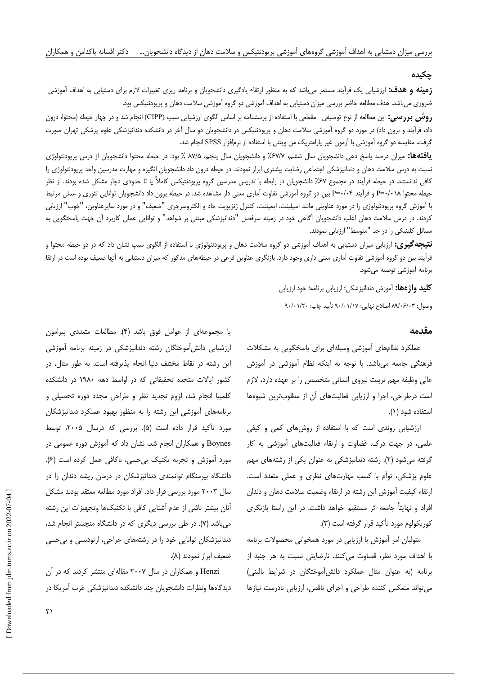#### جكيده

**زمینه و هدف:** ارزشیابی یک فرأیند مستمر می!شد که به منظور ارتقاء یادگیری دانشجویان و برنامه ریزی تغییرات لازم برای دستیابی به اهداف أموزشی ضروری میباشد. هدف مطالعه حاضر بررسی میزان دستیابی به اهداف آموزشی دو گروه آموزشی سلامت دهان و پریودنتیکس بود.

**روش بررسی:** این مطالعه از نوع توصیفی– مقطعی با استفاده از پرسشنامه بر اساس الگوی ارزشیابی سیپ (CIPP) انجام شد و در چهار حیطه (محتوا، درون داد، فرآیند و برون داد) در مورد دو گروه آموزشی سلامت دهان و پریودنتیکس در دانشجویان دو سال آخر در دانشکده دندانپزشکی علوم پزشکی تهران صورت گرفت. مقایسه دو گروه آموزشی با آزمون غیر پارامتریک من ویتنی با استفاده از نرمافزار SPSS انجام شد.

**یافتهها:** میزان درصد پاسخ دهی دانشجویان سال ششم، ۶۷/۷٪ و دانشجویان سال پنجم، ۸۷/۵ ٪ بود. در حیطه محتوا دانشجویان از درس پریودنتولوژی نسبت به درس سلامت دهان و دندانپزشکی اجتماعی رضایت بیشتری ابراز نمودند. در حیطه درون داد دانشجویان انگیزه و مهارت مدرسین واحد پریودنتولوژی را کافی ندانستند. در حیطه فرآیند در مجموع ۶۷٪ دانشجویان در رابطه با تدریس مدرسین گروه پریودنتیکس کاملاً یا تا حدودی دچار مشکل شده بودند. از نظر حیطه محتوا P=۰/۰۱۸ و فرآیند P=۰/۰۴ بین دو گروه آموزشی تفاوت آماری معنی دار مشاهده شد. در حیطه برون داد دانشجویان توانایی تئوری و عملی مرتبط با آموزش گروه پریودنتولوژی را در مورد عناوینی مانند اسپلینت، ایمپلنت، کنترل ژنژیویت حاد و الکتروسرجری "ضعیف" و در مورد سایرعناوین، "خوب" ارزیابی کردند. در درس سلامت دهان اغلب دانشجویان آگاهی خود در زمینه سرفصل "دندانپزشکی مبتنی بر شواهد" و توانایی عملی کاربرد آن جهت پاسخگویی به مسائل کلینیکی را در حد "متوسط" ارزیابی نمودند.

**نتیجه گیری:** ارزیابی میزان دستیابی به اهداف آموزشی دو گروه سلامت دهان و پریودنتولوژی با استفاده از الگوی سیپ نشان داد که در دو حیطه محتوا و فرآیند بین دو گروه آموزشی تفاوت آماری معنی داری وجود دارد. بازنگری عناوین فرعی در حیطههای مذکور که میزان دستیابی به آنها ضعیف بوده است در ارتقا برنامه آموزشی توصیه می شود.

> **کلید واژهها:** آموزش دندانیزشکی؛ ارزیابی برنامه؛ خود ارزیابی وصول: ۸۹/۰۶/۰۳ اصلاح نهايي: ۹۰/۰۱/۱۷ تأييد چاپ: ۹۰/۰۱/۲۰

### مقدمه

عملکرد نظامهای آموزشی وسیلهای برای پاسخگویی به مشکلات فرهنگی جامعه می باشد. با توجه به اینکه نظام آموزشی در آموزش عالی وظیفه مهم تربیت نیروی انسانی متخصص را بر عهده دارد، لازم است درطراحی، اجرا و ارزیابی فعالیتهای آن از مطلوبترین شیوهها استفاده شود (١).

ارزشیابی روندی است که با استفاده از روشهای کمی و کیفی علمی، در جهت درک، قضاوت و ارتقاء فعالیتهای آموزشی به کار گرفته می شود (۲). رشته دندانپزشکی به عنوان یکی از رشتههای مهم علوم پزشکی، توأم با کسب مهارتهای نظری و عملی متعدد است. ارتقاء كيفيت آموزش اين رشته در ارتقاء وضعيت سلامت دهان و دندان افراد و نهایتاً جامعه اثر مستقیم خواهد داشت. در این راستا بازنگری كوريكولوم مورد تأكيد قرار گرفته است (٣).

متولیان امر آموزش با ارزیابی در مورد همخوانی محصولات برنامه با اهداف مورد نظر، قضاوت می کنند. نارضایتی نسبت به هر جنبه از برنامه (به عنوان مثال عملكرد دانش آموختگان در شرايط باليني) می تواند منعکس کننده طراحی و اجرای ناقص، ارزیابی نادرست نیازها

يا مجموعهاى از عوامل فوق باشد (۴). مطالعات متعددى پيرامون ارزشیابی دانش آموختگان رشته دندانپزشکی در زمینه برنامه آموزشی این رشته در نقاط مختلف دنیا انجام پذیرفته است. به طور مثال، در کشور ایالات متحده تحقیقاتی که در اواسط دهه ۱۹۸۰ در دانشکده کلمبیا انجام شد، لزوم تجدید نظر و طراحی مجدد دوره تحصیلی و برنامههای آموزشی این رشته را به منظور بهبود عملکرد دندانپزشکان مورد تأكيد قرار داده است (۵). بررسى كه درسال ۲۰۰۵، توسط Boynes و همکاران انجام شد، نشان داد که آموزش دوره عمومی در مورد آموزش و تجربه تکنیک بی حسی، ناکافی عمل کرده است (۶). دانشگاه بیرمنگام توانمندی دندانپزشکان در درمان ریشه دندان را در سال ۲۰۰۳ مورد بررسی قرار داد. افراد مورد مطالعه معتقد بودند مشکل آنان بیشتر ناشی از عدم آشنایی کافی با تکنیکها وتجهیزات این رشته میباشد (۷). در طی بررسی دیگری که در دانشگاه منچستر انجام شد، دندانیزشکان توانایی خود را در رشتههای جراحی، ارتودنسی و بی حسی ضعيف ابراز نمودند (٨).

Henzi و همکاران در سال ۲۰۰۷ مقالهای منتشر کردند که در آن دیدگاهها ونظرات دانشجویان چند دانشکده دندانیزشکی غرب آمریکا در

 $\mathsf{r}_1$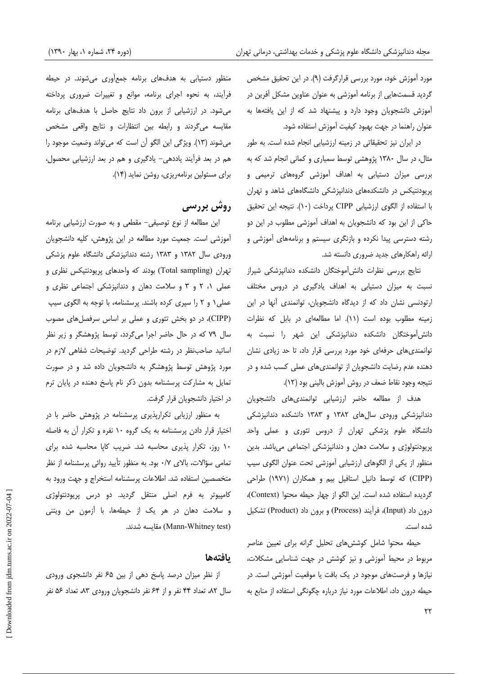مورد آموزش خود، مورد بررسی قرارگرفت (۹). در این تحقیق مشخص گردید قسمتهایی از برنامه آموزشی به عنوان عناوین مشکل آفرین در آموزش دانشجویان وجود دارد و پیشنهاد شد که از این یافتهها به عنوان راهنما در جهت بهبود كيفيت آموزش استفاده شود.

در ایران نیز تحقیقاتی در زمینه ارزشیابی انجام شده است. به طور مثال، در سال ۱۳۸۰ پژوهشی توسط سمیاری و کمانی انجام شد که به بررسی میزان دستیابی به اهداف آموزشی گروههای ترمیمی و پریودنتیکس در دانشکدههای دندانپزشکی دانشگاههای شاهد و تهران با استفاده از الگوی ارزشیابی CIPP پرداخت (١٠). نتیجه این تحقیق حاکی از این بود که دانشجویان به اهداف آموزشی مطلوب در این دو رشته دسترسی پیدا نکرده و بازنگری سیستم و برنامههای آموزشی و ارائه راهكارهاى جديد ضرورى دانسته شد.

نتايج بررسى نظرات دانش آموختگان دانشكده دندانيزشكى شيراز نسبت به میزان دستیابی به اهداف یادگیری در دروس مختلف ارتودنسی نشان داد که از دیدگاه دانشجویان، توانمندی آنها در این زمینه مطلوب بوده است (١١). اما مطالعهای در بابل که نظرات دانش آموختگان دانشکده دندانپزشکی این شهر را نسبت به توانمندی های حرفهای خود مورد بررسی قرار داد، تا حد زیادی نشان دهنده عدم رضایت دانشجویان از توانمندیهای عملی کسب شده و در نتيجه وجود نقاط ضعف در روش آموزش باليني بود (١٢).

هدف از مطالعه حاضر ارزشیابی توانمندیهای دانشجویان دندانپزشکی ورودی سالهای ۱۳۸۲ و ۱۳۸۳ دانشکده دندانپزشکی دانشگاه علوم پزشکی تهران از دروس تئوری و عملی واحد پریودنتولوژی و سلامت دهان و دندانپزشکی اجتماعی میباشد. بدین منظور از یکی از الگوهای ارزشیابی آموزشی تحت عنوان الگوی سیپ (CIPP) که توسط دانیل استافیل بیم و همکاران (۱۹۷۱) طراحی گردیده استفاده شده است. این الگو از چهار حیطه محتوا (Context)، درون داد (Input)، فرآیند (Process) و برون داد (Product) تشکیل شده است.

حیطه محتوا شامل کوششهای تحلیل گرانه برای تعیین عناصر مربوط در محیط آموزشی و نیز کوشش در جهت شناسایی مشکلات، نیازها و فرصتهای موجود در یک بافت یا موقعیت آموزشی است. در حیطه درون داد، اطلاعات مورد نیاز درباره چگونگی استفاده از منابع به

منظور دستیابی به هدفهای برنامه جمعآوری میشوند. در حیطه فرآیند، به نحوه اجرای برنامه، موانع و تغییرات ضروری پرداخته می شود. در ارزشیابی از برون داد نتایج حاصل با هدفهای برنامه مقایسه میگردند و رابطه بین انتظارات و نتایج واقعی مشخص میشوند (١٣). ویژگی این الگو آن است که میتواند وضعیت موجود را هم در بعد فرأيند ياددهي- يادگيري و هم در بعد ارزشيابي محصول، برای مسئولین برنامهریزی، روشن نماید (۱۴).

## **روش بررسی**

این مطالعه از نوع توصیفی- مقطعی و به صورت ارزشیابی برنامه آموزشی است. جمعیت مورد مطالعه در این پژوهش، کلیه دانشجویان ورودی سال ۱۳۸۲ و ۱۳۸۳ رشته دندانپزشکی دانشگاه علوم پزشکی تهران (Total sampling) بودند که واحدهای پریودنتیکس نظری و عملی ۰۱ و ۳ و سلامت دهان و دندانپزشکی اجتماعی نظری و عملی ۱ و ۲ را سپری کرده باشند. پرسشنامه، با توجه به الگوی سیپ (CIPP)، در دو بخش تئوری و عملی بر اساس سرفصلهای مصوب سال ۷۹ که در حال حاضر اجرا میگردد، توسط پژوهشگر و زیر نظر اساتید صاحب نظر در رشته طراحی گردید. توضیحات شفاهی لازم در مورد پژوهش توسط پژوهشگر به دانشجویان داده شد و در صورت تمایل به مشارکت پرسشنامه بدون ذکر نام پاسخ دهنده در پایان ترم در اختیار دانشجویان قرار گرفت.

به منظور ارزیابی تکرارپذیری پرسشنامه در پژوهش حاضر با در اختیار قرار دادن پرسشنامه به یک گروه ۱۰ نفره و تکرار آن به فاصله ١٠ روز، تكرار پذيرى محاسبه شد. ضريب كاپا محاسبه شده براى تمامی سؤالات، بالای ٠/٧ بود. به منظور تأييد روائي پرسشنامه از نظر متخصصین استفاده شد. اطلاعات پرسشنامه استخراج و جهت ورود به کامپیوتر به فرم اصلی منتقل گردید. دو درس پریودنتولوژی و سلامت دهان در هر یک از حیطهها، با آزمون من ویتنی (Mann-Whitney test) مقايسه شدند.

#### بافتهها

از نظر میزان درصد پاسخ دهی از بین ۶۵ نفر دانشجوی ورودی سال ۸۲، تعداد ۴۴ نفر و از ۶۴ نفر دانشجویان ورودی ۸۳، تعداد ۵۶ نفر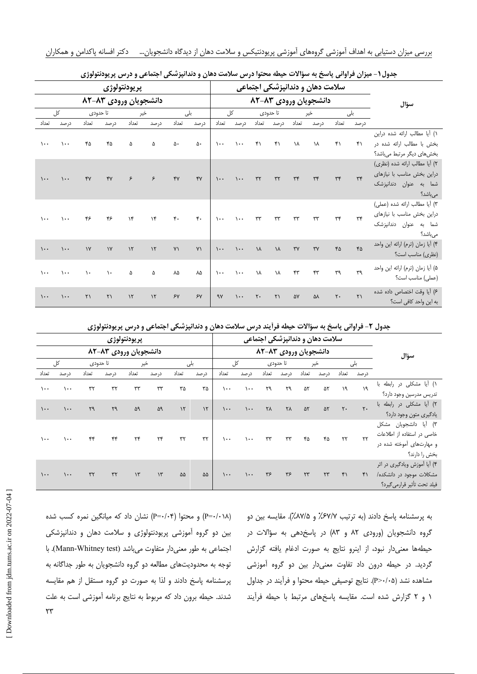|                 |             |                        |                        | سلامت دهان و دندانپزشکی اجتماعی |               |                  |                  |                 |                       |                       |                     |                        |               |                |                       |                                  |
|-----------------|-------------|------------------------|------------------------|---------------------------------|---------------|------------------|------------------|-----------------|-----------------------|-----------------------|---------------------|------------------------|---------------|----------------|-----------------------|----------------------------------|
|                 |             |                        | دانشجویان ورودی ۸۳–۸۲  |                                 |               |                  |                  |                 |                       | دانشجویان ورودی ۸۳–۸۲ | سؤال                |                        |               |                |                       |                                  |
| کل              |             | تا حدودي               |                        | خير                             |               | بلى              |                  | کل              |                       | تا حدودي              |                     | خير                    |               | بلى            |                       |                                  |
| تعداد           | در صد       | تعداد                  | در صد                  | تعداد                           | در صد         | تعداد            | در صد            | تعداد           | در صد                 | تعداد                 | درصد                | تعداد                  | در صد         | تعداد          | در صد                 |                                  |
|                 |             |                        |                        |                                 |               |                  |                  |                 |                       |                       |                     |                        |               |                |                       | ١) أيا مطالب ارائه شده دراين     |
| $\mathcal{L}$ . | $\lambda$ . | ۴۵                     | ۴۵                     | ۵                               | ۵             | ۵۰               | ۵۰               | $\lambda$       | $\lambda \cdot \cdot$ | $\uparrow$            | $\uparrow$          | ١٨                     | ١٨            | $\uparrow$     | ۴۱                    | بخش با مطالب ارائه شده در        |
|                 |             |                        |                        |                                 |               |                  |                  |                 |                       |                       |                     |                        |               |                |                       | بخشهای دیگر مرتبط میباشد؟        |
|                 |             |                        |                        |                                 |               |                  |                  |                 |                       |                       |                     |                        |               |                |                       | ٢) أيا مطالب ارائه شده (نظرى)    |
| $\mathcal{L}$ . | $\cdots$    | YY                     | YY                     | ۶                               | ۶             | YY               | YY               | $\mathcal{L}$ . | $\mathcal{L}$         | $\tau\tau$            | $\tau\tau$          | $\tau\tau$             | $\tau\tau$    | $\tau\tau$     | $\tau$                | دراین بخش مناسب با نیازهای       |
|                 |             |                        |                        |                                 |               |                  |                  |                 |                       |                       |                     |                        |               |                |                       | شما به عنوان دندانپزشک           |
|                 |             |                        |                        |                                 |               |                  |                  |                 |                       |                       |                     |                        |               |                |                       | مىباشد؟                          |
|                 |             |                        |                        |                                 |               |                  |                  |                 |                       |                       |                     |                        |               |                |                       | ٣) أيا مطالب ارائه شده (عملى)    |
| $\mathcal{L}$ . | $\lambda$ . | ۴۶                     | ۴۶                     | $\mathcal{N}$                   | $\lambda$     | $\mathfrak{r}$ . | $\mathfrak{r}$ . | $\mathcal{L}$ . | $\lambda$ .           | $\tau\tau$            | $\tau\tau$          | $\tau\tau$             | $\tau\tau$    | $\tau\tau$     | $\tau$                | دراین بخش مناسب با نیازهای       |
|                 |             |                        |                        |                                 |               |                  |                  |                 |                       |                       |                     |                        |               |                |                       | شما به عنوان دندانپزشک           |
|                 |             |                        |                        |                                 |               |                  |                  |                 |                       |                       |                     |                        |               |                |                       | مىباشد؟                          |
| $\mathcal{L}$ . | $\lambda$ . | $\gamma$               | $\gamma$               | $\mathcal{N}$                   | $\lambda$     | $Y\setminus$     | $Y \setminus$    | $\mathcal{L}$ . | $\cdots$              | ١٨                    | ١٨                  | $\mathsf{r}\mathsf{v}$ | $\mathsf{Y}'$ | ۴۵             | ۴۵                    | ۴) أيا زمان (ترم) ارائه اين واحد |
|                 |             |                        |                        |                                 |               |                  |                  |                 |                       |                       |                     |                        |               |                |                       | (نظری) مناسب است؟                |
| $\mathcal{L}$ . | $\lambda$ . | $\lambda$              | $\lambda$              | ۵                               | ۵             | ٨۵               | ٨۵               | $\mathcal{L}$ . | $\lambda$ .           | ١٨                    | ١٨                  | ۴٣                     | ۴٣            | ٣٩             | ٣٩                    | ۵) أيا زمان (ترم) ارائه اين واحد |
|                 |             |                        |                        |                                 |               |                  |                  |                 |                       |                       |                     |                        |               |                |                       | (عملی) مناسب است؟                |
|                 |             |                        |                        |                                 |               |                  |                  |                 |                       |                       |                     |                        |               |                |                       | ٤) أيا وقت اختصاص داده شده       |
| $\mathcal{L}$ . | $\lambda$ . | $\mathsf{r}\mathsf{v}$ | $\mathsf{r}\mathsf{v}$ | $\mathcal{N}$                   | $\mathcal{N}$ | $5\gamma$        | 5Y               | 9V              | $\mathcal{L}$ .       | $\mathsf{r}$ .        | $\uparrow \uparrow$ | ۵۷                     | ۵٨            | $\mathbf{r}$ . | $\mathsf{r}\setminus$ | به این واحد کافی است؟            |

جدول ۱- میزان فراوانی پاسخ به سؤالات حیطه محتوا درس سلامت دهان و دندانپزشکی اجتماعی و درس پریودنتولوژی

جدول ۲- فراوانی پاسخ به سؤالات حیطه فرأیند درس سلامت دهان و دندانپزشکی اجتماعی و درس پریودنتولوژی

| پريودنتولوژي    |          |            |                       |               |            |                       |               |                 | سلامت دهان و دندانپزشکی اجتماعی |          |            |            |                   |                |                |                              |
|-----------------|----------|------------|-----------------------|---------------|------------|-----------------------|---------------|-----------------|---------------------------------|----------|------------|------------|-------------------|----------------|----------------|------------------------------|
|                 |          |            | دانشجویان ورودی ۸۳-۸۲ |               |            | دانشجویان ورودی ۸۳–۸۲ |               |                 |                                 |          |            |            |                   | سؤال           |                |                              |
| کل              |          | تا حدودی   |                       | خير           |            | بلى                   |               | کل              |                                 | تا حدودی |            | خير        |                   | بلی            |                |                              |
| تعداد           | در صد    | تعداد      | درصد                  | تعداد         | درصد       | تعداد                 | در صد         | تعداد           | در صد                           | تعداد    | درصد       | تعداد      | درصد              | تعداد          | در صد          |                              |
| $\mathcal{L}$   | $\cdots$ | ٣٢         | $\tau\tau$            | $\tau\tau$    | $\tau\tau$ | ۳۵                    | ۳۵            | $\mathcal{L}$   | $\lambda$                       | ٣٩       | ٢٩         | ۵٢         | ۵٢                | ١٩             | ۱۹             | ١) آيا مشكلى در رابطه با     |
|                 |          |            |                       |               |            |                       |               |                 |                                 |          |            |            |                   |                |                | تدريس مدرسين وجود دارد؟      |
| $\mathcal{L}$   | $\cdots$ | ٣٩         | ٣٩                    | ۵۹            | ۵۹         | $\mathcal{N}$         | $\mathcal{N}$ | $\mathcal{L}$ . | $\lambda \cdot \cdot$           | ۲۸       | ٢٨         | ۵٢         | $\Delta \Upsilon$ | $\mathsf{r}$ . | $\mathsf{r}$ . | ٢) آيا مشكلى در رابطه با     |
|                 |          |            |                       |               |            |                       |               |                 |                                 |          |            |            |                   |                |                | يادگيري متون وجود دارد؟      |
| $\mathcal{L}$   | ۰۰۱      | ۴۴         | ۴۴                    | ٢۴            | ۲۴         | ٣٢                    | $\tau\tau$    | $\mathcal{L}$   | $\lambda$                       | rr       | $\tau\tau$ | ۴۵         | ۴۵                | $\tau\tau$     | $\tau\tau$     | ٣) آيا دانشجويان مشكل        |
|                 |          |            |                       |               |            |                       |               |                 |                                 |          |            |            |                   |                |                | خاصی در استفاده از اطلاعات   |
|                 |          |            |                       |               |            |                       |               |                 |                                 |          |            |            |                   |                |                | و مهارتهای آموخته شده در     |
|                 |          |            |                       |               |            |                       |               |                 |                                 |          |            |            |                   |                |                | بخش را دارند؟                |
| $\mathcal{L}$ . | $\cdots$ | $\tau\tau$ |                       | $\mathcal{N}$ | $\gamma$   | ۵۵                    | ۵۵            | $\mathcal{L}$ . | $\mathcal{L}$                   | ٣۶       | ٣۶         | $\tau\tau$ | $\tau\tau$        | $f \cap$       | ۴۱             | ۴) أيا أموزش ويادگيري در اثر |
|                 |          |            | $\tau\tau$            |               |            |                       |               |                 |                                 |          |            |            |                   |                |                | مشکلات موجود در دانشکده/     |
|                 |          |            |                       |               |            |                       |               |                 |                                 |          |            |            |                   |                |                | فيلد تحت تأثير قرارمي گيرد؟  |

به پرسشنامه پاسخ دادند (به ترتیب ۶۷/۷٪ و ۸۷/۵٪). مقایسه بین دو گروه دانشجویان (ورودی ۸۲ و ۸۳) در پاسخدهی به سؤالات در حیطهها معنیدار نبود، از اینرو نتایج به صورت ادغام یافته گزارش گردید. در حیطه درون داد تفاوت معنیدار بین دو گروه آموزشی مشاهده نشد (۶>/۰+P). نتايج توصيفي حيطه محتوا و فرآيند در جداول ١ و ٢ گزارش شده است. مقايسه پاسخهاى مرتبط با حيطه فرآيند

(P=٠/٠١٨) و محتوا (P=٠/٠۴) نشان داد که میانگین نمره کسب شده بین دو گروه آموزشی پریودنتولوژی و سلامت دهان و دندانپزشکی اجتماعی به طور معنی دار متفاوت می باشد (Mann-Whitney test). با توجه به محدودیتهای مطالعه دو گروه دانشجویان به طور جداگانه به پرسشنامه پاسخ دادند و لذا به صورت دو گروه مستقل از هم مقایسه شدند. حیطه برون داد که مربوط به نتایج برنامه آموزشی است به علت  $\mathsf{Y} \mathsf{Y}$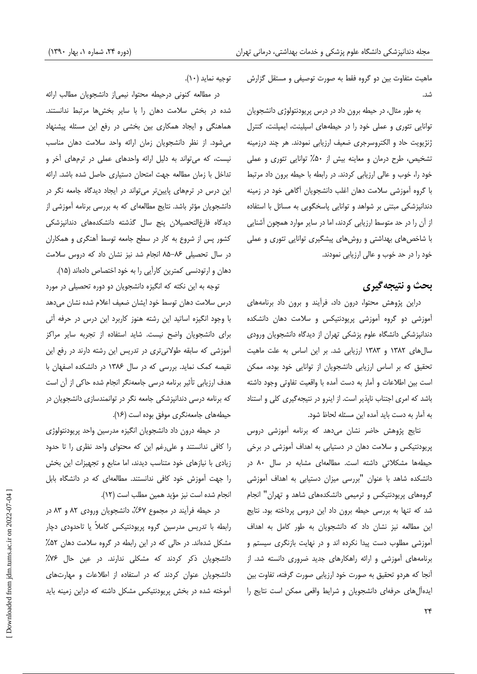ماهیت متفاوت بین دو گروه فقط به صورت توصیفی و مستقل گزارش  $\Lambda$ 

به طور مثال، در حیطه برون داد در درس پریودنتولوژی دانشجویان توانایی تئوری و عملی خود را در حیطههای اسپلینت، ایمپلنت، کنترل ژنژیویت حاد و الکتروسرجری ضعیف ارزیابی نمودند. هر چند درزمینه تشخیص، طرح درمان و معاینه بیش از ۵۰٪ توانایی تئوری و عملی خود را، خوب و عالی ارزیابی کردند. در رابطه با حیطه برون داد مرتبط با گروه آموزشی سلامت دهان اغلب دانشجویان آگاهی خود در زمینه دندانپزشکی مبتنی بر شواهد و توانایی پاسخگویی به مسائل با استفاده از آن را در حد متوسط ارزیابی کردند، اما در سایر موارد همچون آشنایی با شاخصهای بهداشتی و روشهای پیشگیری توانایی تئوری و عملی خود را در حد خوب و عالی ارزیابی نمودند.

## بحث و نتيجه گيري

دراین پژوهش محتوا، درون داد، فرآیند و برون داد برنامههای آموزشی دو گروه آموزشی پریودنتیکس و سلامت دهان دانشکده دندانپزشکی دانشگاه علوم پزشکی تهران از دیدگاه دانشجویان ورودی سال های ١٣٨٢ و ١٣٨٣ ارزيابي شد. بر اين اساس به علت ماهيت تحقیق که بر اساس ارزیابی دانشجویان از توانایی خود بوده، ممکن است بین اطلاعات و آمار به دست آمده با واقعیت تفاوتی وجود داشته باشد که امری اجتناب نایذیر است. از اینرو در نتیجه گیری کلی و استناد به آمار به دست باید آمده این مسئله لحاظ شود.

نتایج پژوهش حاضر نشان میدهد که برنامه آموزشی دروس پریودنتیکس و سلامت دهان در دستیابی به اهداف آموزشی در برخی حیطهها مشکلاتی داشته است. مطالعهای مشابه در سال ۸۰ در دانشکده شاهد با عنوان "بررسی میزان دستیابی به اهداف آموزشی گروههای پریودنتیکس و ترمیمی دانشکدههای شاهد و تهران" انجام شد که تنها به بررسی حیطه برون داد این دروس پرداخته بود. نتایج این مطالعه نیز نشان داد که دانشجویان به طور کامل به اهداف آموزشی مطلوب دست پیدا نکرده اند و در نهایت بازنگری سیستم و برنامههای آموزشی و ارائه راهکارهای جدید ضروری دانسته شد. از آنجا که هردو تحقیق به صورت خود ارزیابی صورت گرفته، تفاوت بین ایدهآل های حرفهای دانشجویان و شرایط واقعی ممکن است نتایج را

توجيه نمايد (١٠).

در مطالعه كنونى درحيطه محتوا، نيمى از دانشجويان مطالب ارائه شده در بخش سلامت دهان را با سایر بخشها مرتبط ندانستند. هماهنگی و ایجاد همکاری بین بخشی در رفع این مسئله پیشنهاد می شود. از نظر دانشجویان زمان ارائه واحد سلامت دهان مناسب نیست، که می تواند به دلیل ارائه واحدهای عملی در ترمهای آخر و تداخل با زمان مطالعه جهت امتحان دستيارى حاصل شده باشد. ارائه این درس در ترمهای پایینتر می تواند در ایجاد دیدگاه جامعه نگر در دانشجویان مؤثر باشد. نتایج مطالعهای که به بررسی برنامه آموزشی از دیدگاه فارغالتحصیلان پنج سال گذشته دانشکدههای دندانپزشکی کشور پس از شروع به کار در سطح جامعه توسط آهنگری و همکاران در سال تحصیلی ۸۶-۸۵ انجام شد نیز نشان داد که دروس سلامت دهان و ارتودنسی کمترین کارآیی را به خود اختصاص دادهاند (۱۵).

توجه به این نکته که انگیزه دانشجویان دو دوره تحصیلی در مورد درس سلامت دهان توسط خود ایشان ضعیف اعلام شده نشان میدهد با وجود انگیزه اساتید این رشته هنوز کاربرد این درس در حرفه آتی برای دانشجویان واضح نیست. شاید استفاده از تجربه سایر مراکز آموزشی که سابقه طولانیتری در تدریس این رشته دارند در رفع این نقیصه کمک نماید. بررسی که در سال ۱۳۸۶ در دانشکده اصفهان با هدف ارزیابی تأثیر برنامه درسی جامعهنگر انجام شده حاکی از آن است که برنامه درسی دندانیزشکی جامعه نگر در توانمندسازی دانشجویان در حیطههای جامعهنگری موفق بوده است (۱۶).

در حیطه درون داد دانشجویان انگیزه مدرسین واحد پریودنتولوژی را کافی ندانستند و علی رغم این که محتوای واحد نظری را تا حدود زیادی با نیازهای خود متناسب دیدند، اما منابع و تجهیزات این بخش را جهت آموزش خود کافی ندانستند. مطالعهای که در دانشگاه بابل انجام شده است نيز مؤيد همين مطلب است (١٢).

در حیطه فرآیند در مجموع ۶۷٪، دانشجویان ورودی ۸۲ و ۸۳ در رابطه با تدریس مدرسین گروه پریودنتیکس کاملاً یا تاحدودی دچار مشکل شدهاند. در حالی که در این رابطه در گروه سلامت دهان ۵۲٪ دانشجویان ذکر کردند که مشکلی ندارند. در عین حال ۷۶٪ دانشجویان عنوان کردند که در استفاده از اطلاعات و مهارتهای آموخته شده در بخش پریودنتیکس مشکل داشته که دراین زمینه باید